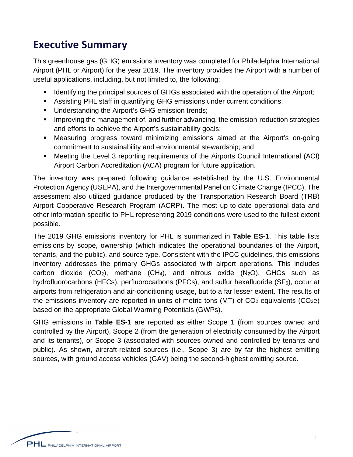## **Executive Summary**

This greenhouse gas (GHG) emissions inventory was completed for Philadelphia International Airport (PHL or Airport) for the year 2019. The inventory provides the Airport with a number of useful applications, including, but not limited to, the following:

- **IDENT** Identifying the principal sources of GHGs associated with the operation of the Airport;
- Assisting PHL staff in quantifying GHG emissions under current conditions;
- **Understanding the Airport's GHG emission trends;**
- **IMPROVIGUATE:** Improving the management of, and further advancing, the emission-reduction strategies and efforts to achieve the Airport's sustainability goals;
- Measuring progress toward minimizing emissions aimed at the Airport's on-going commitment to sustainability and environmental stewardship; and
- Meeting the Level 3 reporting requirements of the Airports Council International (ACI) Airport Carbon Accreditation (ACA) program for future application.

The inventory was prepared following guidance established by the U.S. Environmental Protection Agency (USEPA), and the Intergovernmental Panel on Climate Change (IPCC). The assessment also utilized guidance produced by the Transportation Research Board (TRB) Airport Cooperative Research Program (ACRP). The most up-to-date operational data and other information specific to PHL representing 2019 conditions were used to the fullest extent possible.

The 2019 GHG emissions inventory for PHL is summarized in **Table ES-1**. This table lists emissions by scope, ownership (which indicates the operational boundaries of the Airport, tenants, and the public), and source type. Consistent with the IPCC guidelines, this emissions inventory addresses the primary GHGs associated with airport operations. This includes carbon dioxide  $(CO_2)$ , methane  $(CH_4)$ , and nitrous oxide  $(N_2O)$ . GHGs such as hydrofluorocarbons (HFCs), perfluorocarbons (PFCs), and sulfur hexafluoride (SF $_6$ ), occur at airports from refrigeration and air-conditioning usage, but to a far lesser extent. The results of the emissions inventory are reported in units of metric tons (MT) of  $CO<sub>2</sub>$  equivalents ( $CO<sub>2</sub>e$ ) based on the appropriate Global Warming Potentials (GWPs).

GHG emissions in **Table ES-1** are reported as either Scope 1 (from sources owned and controlled by the Airport), Scope 2 (from the generation of electricity consumed by the Airport and its tenants), or Scope 3 (associated with sources owned and controlled by tenants and public). As shown, aircraft-related sources (i.e., Scope 3) are by far the highest emitting sources, with ground access vehicles (GAV) being the second-highest emitting source.

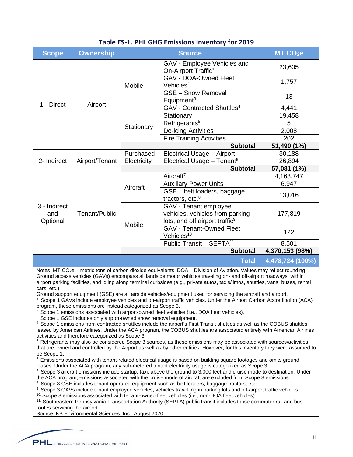| SHO ENNOSIONS INVENTORY TOP ESSS |                  |               |                                                                                                        |                     |
|----------------------------------|------------------|---------------|--------------------------------------------------------------------------------------------------------|---------------------|
| <b>Scope</b>                     | <b>Ownership</b> | <b>Source</b> |                                                                                                        | MT CO <sub>2e</sub> |
| 1 - Direct                       | Airport          | Mobile        | GAV - Employee Vehicles and<br>On-Airport Traffic <sup>1</sup>                                         | 23,605              |
|                                  |                  |               | <b>GAV - DOA-Owned Fleet</b><br>Vehicles <sup>2</sup>                                                  | 1,757               |
|                                  |                  |               | <b>GSE - Snow Removal</b><br>Equipment <sup>3</sup>                                                    | 13                  |
|                                  |                  |               | GAV - Contracted Shuttles <sup>4</sup>                                                                 | 4,441               |
|                                  |                  | Stationary    | Stationary                                                                                             | 19,458              |
|                                  |                  |               | Refrigerants <sup>5</sup>                                                                              | $\overline{5}$      |
|                                  |                  |               | De-icing Activities                                                                                    | 2,008               |
|                                  |                  |               | <b>Fire Training Activities</b>                                                                        | 202                 |
|                                  |                  |               | <b>Subtotal</b>                                                                                        | 51,490 (1%)         |
| 2- Indirect                      | Airport/Tenant   | Purchased     | Electrical Usage - Airport                                                                             | 30,188              |
|                                  |                  | Electricity   | Electrical Usage - Tenant <sup>6</sup>                                                                 | 26,894              |
|                                  |                  |               | <b>Subtotal</b>                                                                                        | 57,081 (1%)         |
| 3 - Indirect<br>and<br>Optional  | Tenant/Public    | Aircraft      | Aircraft <sup>7</sup>                                                                                  | 4,163,747           |
|                                  |                  |               | <b>Auxiliary Power Units</b>                                                                           | 6,947               |
|                                  |                  |               | GSE - belt loaders, baggage<br>tractors, etc. $8$                                                      | 13,016              |
|                                  |                  | Mobile        | GAV - Tenant employee<br>vehicles, vehicles from parking<br>lots, and off airport traffic <sup>9</sup> | 177,819             |
|                                  |                  |               | <b>GAV - Tenant-Owned Fleet</b><br>Vehicles <sup>10</sup>                                              | 122                 |
|                                  |                  |               | Public Transit - SEPTA <sup>11</sup>                                                                   | 8,501               |
|                                  |                  |               | <b>Subtotal</b>                                                                                        | 4,370,153 (98%)     |
| <b>Total</b>                     |                  |               |                                                                                                        | 4,478,724 (100%)    |

## **Table ES-1. PHL GHG Emissions Inventory for 2019**

Notes: MT CO<sub>2</sub>e – metric tons of carbon dioxide equivalents. DOA – Division of Aviation. Values may reflect rounding. Ground access vehicles (GAVs) encompass all landside motor vehicles traveling on- and off-airport roadways, within airport parking facilities, and idling along terminal curbsides (e.g., private autos, taxis/limos, shuttles, vans, buses, rental cars, etc.).

Ground support equipment (GSE) are all airside vehicles/equipment used for servicing the aircraft and airport.

1. Scope 1 GAVs include employee vehicles and on-airport traffic vehicles. Under the Airport Carbon Accreditation (ACA) program, these emissions are instead categorized as Scope 3.<br><sup>2.</sup> Scope 1 emissions associated with airport-owned fleet vehicles (i.e., DOA fleet vehicles).<br><sup>3.</sup> Scope 1 GSE includes only airport-owned snow removal equipme

4. Scope 1 emissions from contracted shuttles include the airport's First Transit shuttles as well as the COBUS shuttles leased by American Airlines. Under the ACA program, the COBUS shuttles are associated entirely with American Airlines activities and therefore categorized as Scope 3.

5. Refrigerants may also be considered Scope 3 sources, as these emissions may be associated with sources/activities that are owned and controlled by the Airport as well as by other entities. However, for this inventory they were assumed to be Scope 1.

<sup>6.</sup> Emissions associated with tenant-related electrical usage is based on building square footages and omits ground leases. Under the ACA program, any sub-metered tenant electricity usage is categorized as Scope 3.

 $7.$  Scope 3 aircraft emissions include startup, taxi, above the ground to 3,000 feet and cruise mode to destination. Under the ACA program, emissions associated with the cruise mode of aircraft are excluded from Scope 3 emissions.

8. Scope 3 GSE includes tenant operated equipment such as belt loaders, baggage tractors, etc.

9. Scope 3 GAVs include tenant employee vehicles, vehicles travelling in parking lots and off-airport traffic vehicles.

<sup>10.</sup> Scope 3 emissions associated with tenant-owned fleet vehicles (i.e., non-DOA fleet vehicles).

11. Southeastern Pennsylvania Transportation Authority (SEPTA) public transit includes those commuter rail and bus routes servicing the airport.

Source: KB Environmental Sciences, Inc., August 2020.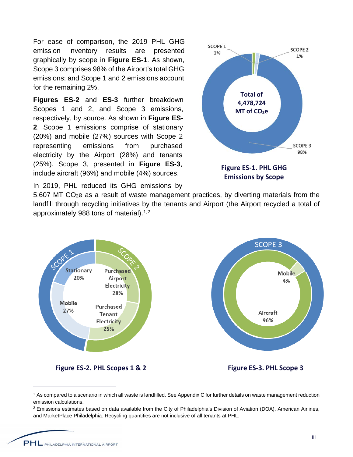For ease of comparison, the 2019 PHL GHG emission inventory results are presented graphically by scope in **Figure ES-1**. As shown, Scope 3 comprises 98% of the Airport's total GHG emissions; and Scope 1 and 2 emissions account for the remaining 2%.

**Figures ES-2** and **ES-3** further breakdown Scopes 1 and 2, and Scope 3 emissions, respectively, by source. As shown in **Figure ES-2**, Scope 1 emissions comprise of stationary (20%) and mobile (27%) sources with Scope 2 representing emissions from purchased electricity by the Airport (28%) and tenants (25%). Scope 3, presented in **Figure ES-3**, include aircraft (96%) and mobile (4%) sources.

In 2019, PHL reduced its GHG emissions by



**Emissions by Scope**

5,607 MT CO2e as a result of waste management practices, by diverting materials from the landfill through recycling initiatives by the tenants and Airport (the Airport recycled a total of approximately 988 tons of material).<sup>[1](#page-2-0),[2](#page-2-1)</sup>



<span id="page-2-0"></span><sup>&</sup>lt;sup>1</sup> As compared to a scenario in which all waste is landfilled. See Appendix C for further details on waste management reduction emission calculations.

<span id="page-2-1"></span> $2$  Emissions estimates based on data available from the City of Philadelphia's Division of Aviation (DOA), American Airlines, and MarketPlace Philadelphia. Recycling quantities are not inclusive of all tenants at PHL.